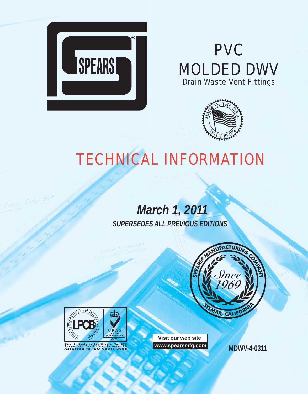

# **PVC** MOLDED DWV Drain Waste Vent Fittings



# TECHNICAL INFORMATION

# *March 1, 2011 SUPERSEDES ALL PREVIOUS EDITIONS*



**Visit our web site www.spearsmfg.com**

**MDWV-4-0311**



Freu City

**Land Systems Certificate No. 293<br>Corporate Facilities, Sylmar, CA<br>Assessed to ISO 9001: 2008**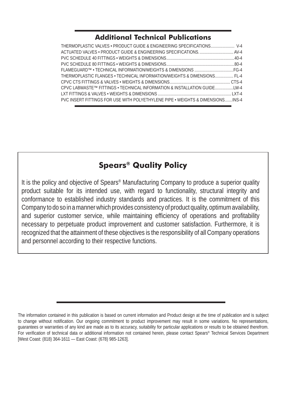#### **Additional Technical Publications**

| THERMOPLASTIC VALVES • PRODUCT GUIDE & ENGINEERING SPECIFICATIONS V-4          |
|--------------------------------------------------------------------------------|
|                                                                                |
|                                                                                |
|                                                                                |
|                                                                                |
| THERMOPLASTIC FLANGES • TECHNICAL INFORMATION/WEIGHTS & DIMENSIONS FL-4        |
|                                                                                |
| CPVC LABWASTE™ FITTINGS • TECHNICAL INFORMATION & INSTALLATION GUIDE           |
|                                                                                |
| PVC INSERT FITTINGS FOR USE WITH POLYETHYLENE PIPE • WEIGHTS & DIMENSIONSINS-4 |
|                                                                                |

### **Spears® Quality Policy**

It is the policy and objective of Spears® Manufacturing Company to produce a superior quality product suitable for its intended use, with regard to functionality, structural integrity and conformance to established industry standards and practices. It is the commitment of this Company to do so in a manner which provides consistency of product quality, optimum availability, and superior customer service, while maintaining efficiency of operations and profitability necessary to perpetuate product improvement and customer satisfaction. Furthermore, it is recognized that the attainment of these objectives is the responsibility of all Company operations and personnel according to their respective functions.

The information contained in this publication is based on current information and Product design at the time of publication and is subject to change without notification. Our ongoing commitment to product improvement may result in some variations. No representations, guarantees or warranties of any kind are made as to its accuracy, suitability for particular applications or results to be obtained therefrom. For verification of technical data or additional information not contained herein, please contact Spears® Technical Services Department [West Coast: (818) 364-1611 — East Coast: (678) 985-1263].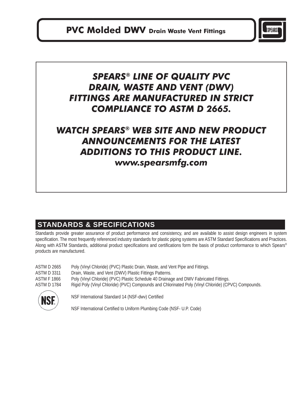

## *SPEARS® LINE OF QUALITY PVC DRAIN, WASTE AND VENT (DWV) FITTINGS ARE MANUFACTURED IN STRICT COMPLIANCE TO ASTM D 2665.*

# *WATCH SPEARS® WEB SITE AND NEW PRODUCT ANNOUNCEMENTS FOR THE LATEST ADDITIONS TO THIS PRODUCT LINE.*

### *www.spearsmfg.com*

### **STANDARDS & SPECIFICATIONS**

Standards provide greater assurance of product performance and consistency, and are available to assist design engineers in system specification. The most frequently referenced industry standards for plastic piping systems are ASTM Standard Specifications and Practices. Along with ASTM Standards, additional product specifications and certifications form the basis of product conformance to which Spears® products are manufactured.

| ASTM D 2665 | Poly (Vinyl Chloride) (PVC) Plastic Drain, Waste, and Vent Pipe and Fittings.                       |
|-------------|-----------------------------------------------------------------------------------------------------|
| ASTM D 3311 | Drain, Waste, and Vent (DWV) Plastic Fittings Patterns.                                             |
| ASTM F 1866 | Poly (Vinyl Chloride) (PVC) Plastic Schedule 40 Drainage and DWV Fabricated Fittings.               |
| ASTM D 1784 | Rigid Poly (Vinyl Chloride) (PVC) Compounds and Chlorinated Poly (Vinyl Chloride) (CPVC) Compounds. |
|             |                                                                                                     |



NSF | NSF International Standard 14 (NSF-dwv) Certified

NSF International Certified to Uniform Plumbing Code (NSF- U.P. Code)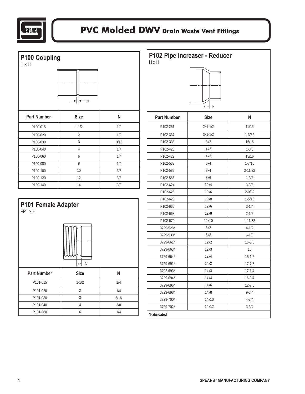

| P100 Coupling<br>H x H |                     |      |
|------------------------|---------------------|------|
| <b>Part Number</b>     | $-N$<br><b>Size</b> | N    |
| P100-015               | $1 - 1/2$           | 1/8  |
| P100-020               | $\overline{2}$      | 1/8  |
| P100-030               | 3                   | 3/16 |
| P100-040               | $\overline{4}$      | 1/4  |
| P100-060               | 6                   | 1/4  |
| P100-080               | 8                   | 1/4  |
| P100-100               | 10                  | 3/8  |
| P100-120               | 12                  | 3/8  |
| P100-140               | 14                  | 3/8  |



| P102 Pipe Increaser - Reducer<br>H x H<br>-N |             |             |
|----------------------------------------------|-------------|-------------|
| <b>Part Number</b>                           | <b>Size</b> | N           |
| P102-251                                     | $2x1 - 1/2$ | 11/16       |
| P102-337                                     | $3x1 - 1/2$ | $1 - 3/32$  |
| P102-338                                     | 3x2         | 15/16       |
| P102-420                                     | 4x2         | $1 - 3/8$   |
| P102-422                                     | 4х3         | 15/16       |
| P102-532                                     | 6x4         | $1 - 7/16$  |
| P102-582                                     | 8x4         | $2 - 11/32$ |
| P102-585                                     | 8x6         | $1 - 3/8$   |
| P102-624                                     | 10x4        | $3 - 3/8$   |
| P102-626                                     | 10x6        | $2 - 9/32$  |
| P102-628                                     | 10x8        | $1 - 5/16$  |
| P102-666                                     | 12x6        | $3 - 1/4$   |
| P102-668                                     | 12x8        | $2 - 1/2$   |
| P102-670                                     | 12x10       | $1 - 11/32$ |
| 3729-528*                                    | 6x2         | $4 - 1/2$   |
| 3729-530*                                    | 6x3         | $6 - 1/8$   |
| 3729-661*                                    | 12x2        | $16 - 5/8$  |
| 3729-663*                                    | 12x3        | 16          |
| 3729-664*                                    | 12x4        | $15 - 1/2$  |
| 3729-691*                                    | 14x2        | $17 - 7/8$  |
| 3792-693*                                    | 14x3        | $17 - 1/4$  |
| 3729-694*                                    | 14х4        | $16 - 3/4$  |
| 3729-696*                                    | 14x6        | $12 - 7/8$  |
| 3729-698*                                    | 14x8        | $9 - 3/4$   |
| 3729-700*                                    | 14x10       | $4 - 3/4$   |
| 3729-702*                                    | 14x12       | $3 - 3/4$   |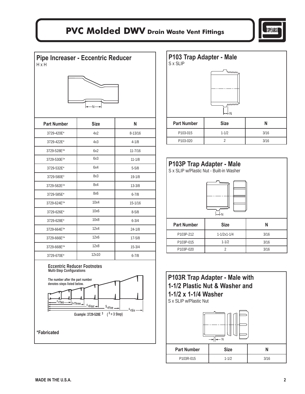

**Pipe Increaser - Eccentric Reducer**   $H \times H$ 



| <b>Part Number</b>      | <b>Size</b> | N           |
|-------------------------|-------------|-------------|
| 3729-420E*              | 4x2         | $8 - 13/16$ |
| 3729-422E*              | 4x3         | $4 - 1/8$   |
| 3729-528E <sup>3*</sup> | 6x2         | $11 - 7/16$ |
| 3729-530E <sup>2*</sup> | 6x3         | $11 - 1/8$  |
| 3729-532E*              | 6x4         | $5 - 5/8$   |
| 3729-580E <sup>3</sup>  | 8x3         | $19 - 1/8$  |
| 3729-582E <sup>2*</sup> | 8x4         | $13 - 3/8$  |
| 3729-585E*              | 8x6         | $6 - 7/8$   |
| 3729-624E <sup>2*</sup> | 10x4        | $15 - 1/16$ |
| 3729-626E*              | 10x6        | $8 - 5/8$   |
| 3729-628E*              | 10x8        | $6 - 3/4$   |
| 3729-664E <sup>3*</sup> | 12x4        | $24 - 1/8$  |
| 3729-666E <sup>2*</sup> | 12x6        | $17 - 5/8$  |
| 3729-668E <sup>2*</sup> | 12x8        | $15 - 3/4$  |
| 3729-670E*              | 12x10       | $6 - 7/8$   |





| P103P Trap Adapter - Male<br>S x SLIP w/Plastic Nut - Built-in Washer<br>mm<br>www |                          |      |  |
|------------------------------------------------------------------------------------|--------------------------|------|--|
| <b>Part Number</b><br>N<br><b>Size</b>                                             |                          |      |  |
| P103P-212                                                                          | $1 - 1/2 \times 1 - 1/4$ | 3/16 |  |
| P103P-015                                                                          | $1 - 1/2$                | 3/16 |  |
| P103P-020                                                                          | $\mathfrak{D}$           | 3/16 |  |

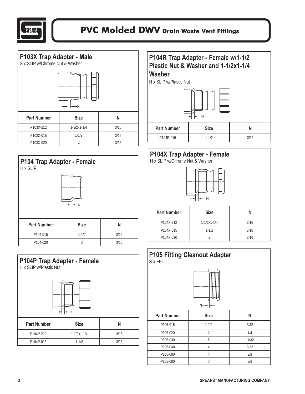













| P104X-212 | $1 - 1/2x1 - 1/4$ | 3/16 |
|-----------|-------------------|------|
| P104X-015 | $1 - 1/2$         | 3/16 |
| P104X-020 |                   | 3/16 |

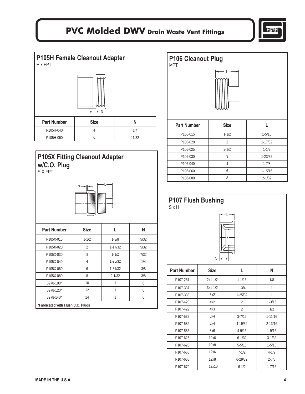







| <b>Part Number</b>                | <b>Size</b>              |             | N    |
|-----------------------------------|--------------------------|-------------|------|
| P105X-015                         | $1 - 1/2$                | $1 - 3/8$   | 5/32 |
| P105X-020                         | $\overline{\mathcal{L}}$ | $1 - 17/32$ | 5/32 |
| P105X-030                         | 3                        | $1 - 1/2$   | 7/32 |
| P105X-040                         | 4                        | $1 - 25/32$ | 1/4  |
| P105X-060                         | 6                        | $1 - 31/32$ | 3/8  |
| P105X-080                         | 8                        | $2 - 1/32$  | 3/8  |
| 3978-100*                         | 10                       |             | U    |
| 3978-120*                         | 12                       |             | 0    |
| 3978-140*                         | 14                       |             | U    |
| *Fabricated with Flush C.O. Plugs |                          |             |      |



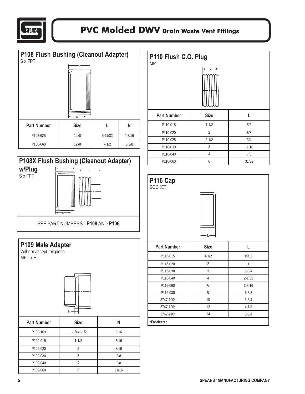







| P110 Flush C.O. Plug<br><b>MPT</b> |                |       |  |
|------------------------------------|----------------|-------|--|
| <b>Part Number</b>                 | <b>Size</b>    | L     |  |
| P110-015                           | $1 - 1/2$      | 5/8   |  |
| P110-020                           | $\overline{2}$ | 5/8   |  |
| P110-025                           | $2 - 1/2$      | 3/4   |  |
| P110-030                           | 3              | 11/16 |  |
| P110-040                           | 4              | 7/8   |  |
| P110-060                           | 6              | 31/32 |  |

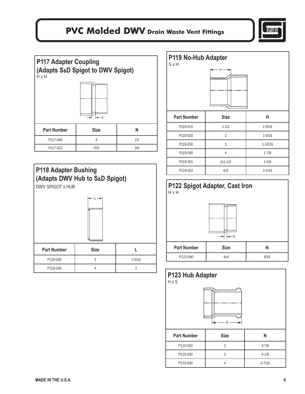



| <b>Part Number</b> | <b>Size</b> |     |
|--------------------|-------------|-----|
| P117-040           |             | 1/2 |
| P117-422           | 4x3         | 3/4 |



| P119 No-Hub Adapter<br><b>S</b> x H |                |             |
|-------------------------------------|----------------|-------------|
|                                     | н -            |             |
| <b>Part Number</b>                  | <b>Size</b>    | Н           |
| P119-015                            | $1 - 1/2$      | $1 - 9/16$  |
| P119-020                            | $\overline{2}$ | $1 - 5/16$  |
| P119-030                            | 3              | $1 - 13/16$ |
| P119-040                            | 4              | $1 - 7/8$   |
| P119-251                            | $2x1 - 1/2$    | $1 - 5/8$   |
| P119-422                            | 4x3            | $2 - 1/16$  |

#### **P122 Spigot Adapter, Cast Iron** H x H



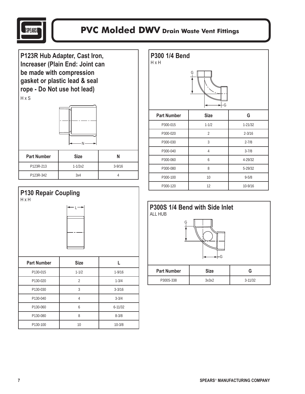

**P123R Hub Adapter, Cast Iron, Increaser (Plain End: Joint can be made with compression gasket or plastic lead & seal rope - Do Not use hot lead)** H x S



| <b>Part Number</b> | <b>Size</b> |            |
|--------------------|-------------|------------|
| P123R-213          | $1 - 1/2x2$ | $3 - 9/16$ |
| P123R-342          | 3x4         |            |

#### **P130 Repair Coupling** H x H



| <b>Part Number</b> | <b>Size</b> |             |
|--------------------|-------------|-------------|
| P130-015           | $1 - 1/2$   | $1 - 9/16$  |
| P130-020           | 2           | $1 - 3/4$   |
| P130-030           | 3           | $3 - 3/16$  |
| P130-040           |             | $3 - 3/4$   |
| P130-060           | 6           | $6 - 11/32$ |
| P130-080           | 8           | $8 - 3/8$   |
| P130-100           | 10          | $10 - 3/8$  |

| P300 1/4 Bend<br>H x H | Ģ<br>٠G        |             |
|------------------------|----------------|-------------|
| <b>Part Number</b>     | <b>Size</b>    | G           |
| P300-015               | $1 - 1/2$      | $1 - 21/32$ |
| P300-020               | $\overline{2}$ | $2 - 3/16$  |
| P300-030               | 3              | $2 - 7/8$   |
| P300-040               | 4              | $3 - 7/8$   |
| P300-060               | 6              | 4-29/32     |
| P300-080               | 8              | 5-29/32     |
| P300-100               | 10             | $9 - 5/8$   |
| P300-120               | 12             | 10-9/16     |

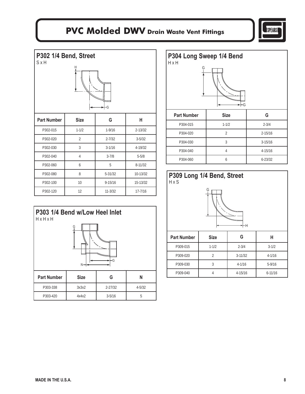

| P302 1/4 Bend, Street<br><b>S</b> x H<br>н |                                          |             |             |  |  |
|--------------------------------------------|------------------------------------------|-------------|-------------|--|--|
| ٠G                                         |                                          |             |             |  |  |
| <b>Part Number</b>                         | G<br>н<br><b>Size</b>                    |             |             |  |  |
| P302-015                                   | $1 - 1/2$                                | $1 - 9/16$  | $2 - 13/32$ |  |  |
| P302-020                                   | $\overline{2}$                           | $2 - 7/32$  | $3 - 5/32$  |  |  |
| P302-030                                   | 3                                        | $3 - 1/16$  | 4-19/32     |  |  |
| P302-040                                   | $\overline{4}$<br>$3 - 7/8$<br>$5 - 5/8$ |             |             |  |  |
| P302-060                                   | 6                                        | 5           | $8 - 11/32$ |  |  |
| P302-080                                   | 8                                        | 5-31/32     | 10-13/32    |  |  |
| P302-100                                   | 10<br>$9 - 15/16$<br>15-13/32            |             |             |  |  |
| P302-120                                   | 12                                       | $11 - 3/32$ | $17 - 7/16$ |  |  |



| P304 Long Sweep 1/4 Bend<br>H x H<br>Ģ<br>٠G |                |             |  |  |
|----------------------------------------------|----------------|-------------|--|--|
| <b>Part Number</b>                           | <b>Size</b>    | G           |  |  |
| P304-015                                     | $1 - 1/2$      | $2 - 3/4$   |  |  |
| P304-020                                     | $\overline{2}$ | $2 - 15/16$ |  |  |
| P304-030                                     | 3              | $3 - 15/16$ |  |  |
| P304-040                                     | 4              | 4-15/16     |  |  |
| P304-060                                     | 6              | $6 - 23/32$ |  |  |

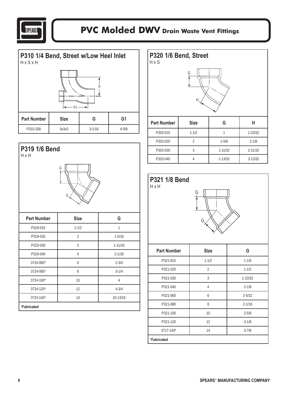



#### **P319 1/6 Bend** H x H



| <b>Part Number</b> | <b>Size</b>    | G           |  |
|--------------------|----------------|-------------|--|
| P319-015           | $1 - 1/2$      | 1           |  |
| P319-020           | $\overline{2}$ | $1 - 5/16$  |  |
| P319-030           | 3              | $1 - 11/16$ |  |
| P319-040           | $\overline{4}$ | $2 - 1/16$  |  |
| 3724-060*          | 6              | $2 - 3/4$   |  |
| 3724-080*          | 8              | $3 - 1/4$   |  |
| 3724-100*          | 10             | 4           |  |
| 3724-120*          | 12             | $4 - 3/4$   |  |
| 3724-140*          | 14             | 10-13/16    |  |
| *Fabricated        |                |             |  |

| P320 1/6 Bend, Street<br>HxS | Ģ<br>Н         |             |             |
|------------------------------|----------------|-------------|-------------|
| <b>Part Number</b>           | <b>Size</b>    | G           | н           |
| P320-015                     | $1 - 1/2$      | 1           | $1 - 23/32$ |
| P320-020                     | $\overline{2}$ | $1 - 5/8$   | $2 - 1/8$   |
| P320-030                     | 3              | $1 - 11/32$ | $2 - 21/32$ |
| P320-040                     | 4              | $1 - 13/32$ | $3 - 13/32$ |



| <b>Part Number</b> | <b>Size</b>    | G           |  |
|--------------------|----------------|-------------|--|
| P321-015           | $1 - 1/2$      | $1 - 1/8$   |  |
| P321-020           | $\overline{2}$ | $1 - 1/2$   |  |
| P321-030           | 3              | $1 - 23/32$ |  |
| P321-040           | 4              | $2 - 1/8$   |  |
| P321-060           | 6              | $2 - 5/32$  |  |
| P321-080           | 8              | $2 - 1/16$  |  |
| P321-100           | 10             | $2 - 5/8$   |  |
| P321-120           | 12             | $3 - 1/8$   |  |
| 3717-140*          | 14             | $3 - 7/8$   |  |
| *Fabricated        |                |             |  |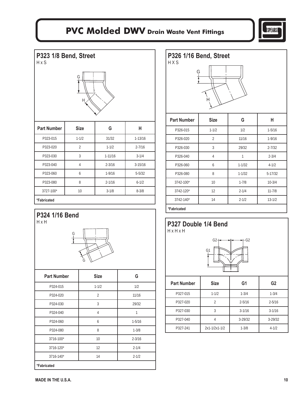

**P323 1/8 Bend, Street**  H x S



| <b>Part Number</b> | <b>Size</b>    | G           | н           |
|--------------------|----------------|-------------|-------------|
| P323-015           | $1 - 1/2$      | 31/32       | $1 - 13/16$ |
| P323-020           | $\overline{2}$ | $1 - 1/2$   | $2 - 7/16$  |
| P323-030           | 3              | $1 - 11/16$ | $3 - 1/4$   |
| P323-040           | 4              | $2 - 3/16$  | $3 - 15/16$ |
| P323-060           | 6              | $1 - 9/16$  | $5 - 5/32$  |
| P323-080           | 8              | $2 - 1/16$  | $6 - 1/2$   |
| 3727-100*          | 10             | $3 - 1/8$   | $8 - 3/8$   |
| *Fabricated        |                |             |             |





| <b>Part Number</b> | <b>Size</b>    | G          |  |
|--------------------|----------------|------------|--|
| P324-015           | $1 - 1/2$      | 1/2        |  |
| P324-020           | $\overline{2}$ | 11/16      |  |
| P324-030           | 3              | 29/32      |  |
| P324-040           | 4              | 1          |  |
| P324-060           | 6              | $1 - 5/16$ |  |
| P324-080           | 8              | $1 - 3/8$  |  |
| 3716-100*          | 10             | $2 - 3/16$ |  |
| 3716-120*          | 12             | $2 - 1/4$  |  |
| 3716-140*          | 14             | $2 - 1/2$  |  |
| *Fabricated        |                |            |  |

| P326 1/16 Bend, Street<br>HXS |  |
|-------------------------------|--|
| G                             |  |
|                               |  |

| <b>Part Number</b> | <b>Size</b>    | G          | н           |
|--------------------|----------------|------------|-------------|
| P326-015           | $1 - 1/2$      | 1/2        | $1 - 5/16$  |
| P326-020           | $\overline{2}$ | 11/16      | $1 - 9/16$  |
| P326-030           | 3              | 29/32      | $2 - 7/32$  |
| P326-040           | 4              | 1          | $2 - 3/4$   |
| P326-060           | 6              | $1 - 1/32$ | $4 - 1/2$   |
| P326-080           | 8              | $1 - 1/32$ | $5 - 17/32$ |
| 3742-100*          | 10             | $1 - 7/8$  | $10 - 3/4$  |
| 3742-120*          | 12             | $2 - 1/4$  | $11 - 7/8$  |
| 3742-140*          | 14             | $2 - 1/2$  | $13 - 1/2$  |
| $*F$ chrioctod     |                |            |             |

#### **\*Fabricated**



| <b>Part Number</b> | <b>Size</b>   | G1          | G <sub>2</sub> |
|--------------------|---------------|-------------|----------------|
| P327-015           | $1 - 1/2$     | $1 - 3/4$   | $1 - 3/4$      |
| P327-020           | 2             | $2 - 5/16$  | $2 - 5/16$     |
| P327-030           | 3             | $3 - 1/16$  | $3 - 1/16$     |
| P327-040           |               | $3 - 29/32$ | $3 - 29/32$    |
| P327-241           | 2x1-1/2x1-1/2 | $1 - 3/8$   | $4 - 1/2$      |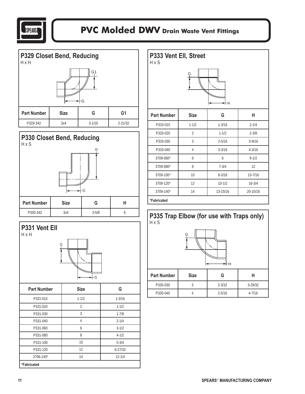



#### **P330 Closet Bend, Reducing**  H x S





| P333 Vent Ell, Street<br>HxS |                |            |             |  |  |  |  |
|------------------------------|----------------|------------|-------------|--|--|--|--|
|                              | G              | HН         |             |  |  |  |  |
| <b>Part Number</b>           | <b>Size</b>    | G          | н           |  |  |  |  |
| P333-015                     | $1 - 1/2$      | $1 - 3/16$ | $2 - 1/4$   |  |  |  |  |
| P333-020                     | $\overline{2}$ | $1 - 1/2$  | $2 - 3/8$   |  |  |  |  |
| P333-030                     | 3              | $2 - 5/16$ | $3 - 9/16$  |  |  |  |  |
| P333-040                     | $\overline{4}$ | $3 - 3/16$ | $4 - 3/16$  |  |  |  |  |
| 3709-060*                    | 6              | 6          | $9 - 1/2$   |  |  |  |  |
| 3709-080*                    | 8              | $7 - 3/4$  | 12          |  |  |  |  |
| 3709-100*                    | 10             | $8 - 3/16$ | $13 - 7/16$ |  |  |  |  |
| 3709-120*                    | 12             | $10 - 1/2$ | $16 - 3/4$  |  |  |  |  |

#### **\*Fabricated**



3709-140\* 14 13-15/16 20-15/16



| Part Number | <b>Size</b> |            |             |
|-------------|-------------|------------|-------------|
| P335-030    |             | $2 - 3/32$ | $3 - 29/32$ |
| P335-040    |             | $2 - 5/16$ | $4 - 7/16$  |
|             |             |            |             |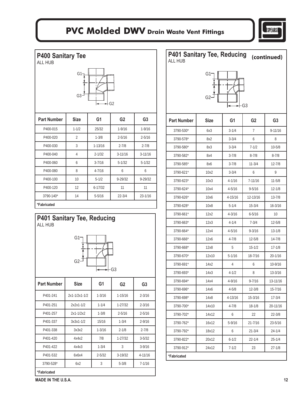

| <b>P400 Sanitary Tee</b><br><b>ALL HUB</b> |                       |                |                |                | P401 Sanitary Tee, Reducing<br>ALL HUB |                |            |                | (continued)    |
|--------------------------------------------|-----------------------|----------------|----------------|----------------|----------------------------------------|----------------|------------|----------------|----------------|
|                                            | G1 <sub>7</sub><br>G3 |                | +G2            |                |                                        | $G1-$<br>$G2-$ |            | ←⊢G3           |                |
| <b>Part Number</b>                         | <b>Size</b>           | G <sub>1</sub> | G <sub>2</sub> | G <sub>3</sub> | <b>Part Number</b>                     | <b>Size</b>    | G1         | G <sub>2</sub> | G <sub>3</sub> |
| P400-015                                   | $1 - 1/2$             | 25/32          | $1 - 9/16$     | $1 - 9/16$     | 3790-530*                              | 6x3            | $3 - 1/4$  | 7              | $9 - 11/16$    |
| P400-020                                   | $\overline{2}$        | $1 - 3/8$      | $2 - 5/16$     | $2 - 5/16$     | 3790-578*                              | 8x2            | $3 - 3/4$  | 6              | 8              |
| P400-030                                   | 3                     | $1 - 13/16$    | $2 - 7/8$      | $2 - 7/8$      | 3790-580*                              | 8x3            | $3 - 3/4$  | $7 - 1/2$      | $10 - 5/8$     |
| P400-040                                   | 4                     | $2 - 1/32$     | $3 - 11/16$    | $3 - 11/16$    | 3790-582*                              | 8x4            | $3 - 7/8$  | $8 - 7/8$      | $8 - 7/8$      |
| P400-060                                   | 6                     | $3 - 7/16$     | $5 - 1/32$     | $5 - 1/32$     | 3790-585*                              | 8x6            | $3 - 7/8$  | $11 - 3/4$     | $12 - 7/8$     |
| P400-080                                   | 8                     | $4 - 7/16$     | 6              | 6              | 3790-621*                              | 10x2           | $3 - 3/4$  | 6              | 9              |
| P400-100                                   | 10                    | $5 - 1/2$      | $9 - 29/32$    | 9-29/32        | 3790-623*                              | 10x3           | $4 - 1/16$ | $7 - 11/16$    | $11 - 5/8$     |
| P400-120                                   | 12                    | $6 - 17/32$    | 11             | 11             | 3790-624*                              | 10x4           | $4 - 5/16$ | $9 - 5/16$     | $12 - 1/8$     |
| 3790-140*                                  | 14                    | $5 - 5/16$     | $22 - 3/4$     | $23 - 1/16$    | 3790-626*                              | 10x6           | 4-15/16    | 12-13/16       | $13 - 7/8$     |
| *Fabricated                                |                       |                |                |                | 3790-628*                              | 10x8           | $5 - 1/4$  | $15 - 3/4$     | $16 - 3/16$    |
|                                            |                       |                |                |                | 3790-661*                              | 12x2           | $4 - 3/16$ | $6 - 5/16$     | 10             |
| P401 Sanitary Tee, Reducing<br>ALL HUB     |                       |                |                |                | 3790-663*                              | 12x3           | $4 - 1/4$  | $7 - 3/4$      | $12 - 5/8$     |
|                                            |                       |                |                |                | 3790-664*                              | 12x4           | $4 - 5/16$ | $9 - 3/16$     | $13 - 1/8$     |
|                                            | $G1$ -                |                |                |                | 3790-666*                              | 12x6           | $4 - 7/8$  | $12 - 5/8$     | $14 - 7/8$     |
|                                            |                       |                |                |                | 3790-668*                              | 12x8           | 5          | $15 - 1/2$     | $17 - 1/8$     |
|                                            |                       |                |                |                | 3790-670*                              | 12x10          | $5 - 1/16$ | $18 - 7/16$    | 20-1/16        |
|                                            | G2                    |                |                |                | 3790-691*                              | 14x2           | 4          | 6              | 10-9/16        |
|                                            |                       |                | ►⊢G3           |                | 3790-693*                              | 14x3           | $4 - 1/2$  | 8              | $13 - 3/16$    |
| <b>Part Number</b>                         | <b>Size</b>           | G1             | G <sub>2</sub> | G <sub>3</sub> | 3790-694*                              | 14x4           | $4 - 9/16$ | $9 - 7/16$     | 13-11/16       |
|                                            |                       |                |                |                | 3790-696*                              | 14x6           | $4 - 5/8$  | $12 - 3/8$     | $15 - 7/16$    |
| P401-241                                   | 2x1-1/2x1-1/2         | $1 - 3/16$     | $1 - 15/16$    | $2 - 3/16$     | 3790-698*                              | 14x8           | 4-13/16    | 15-3/16        | $17 - 3/4$     |

| P401-241    | $2x1 - 1/2x1 - 1/2$ | $1 - 3/16$ | $1 - 15/16$ | $2 - 3/16$  |
|-------------|---------------------|------------|-------------|-------------|
| P401-251    | $2x2x1-1/2$         | $1 - 1/4$  | $1 - 27/32$ | $2 - 3/16$  |
| P401-257    | $2x1 - 1/2x2$       | $1 - 3/8$  | $2 - 5/16$  | $2 - 5/16$  |
| P401-337    | $3x3x1-1/2$         | 15/16      | $1 - 3/4$   | $2 - 9/16$  |
| P401-338    | 3x3x2               | $1 - 3/16$ | $2 - 1/8$   | $2 - 7/8$   |
| P401-420    | 4x4x2               | 7/8        | $1 - 27/32$ | $3 - 5/32$  |
| P401-422    | 4x4x3               | $1 - 3/4$  | 3           | $3-9/16$    |
| P401-532    | 6x6x4               | $2 - 5/32$ | $3-19/32$   | $4 - 11/16$ |
| 3790-528*   | 6x2                 | 3          | $5 - 3/8$   | $7 - 1/16$  |
| *Fabricated |                     |            |             |             |

Part Number | Size | G1 | G2 | G3 3790-530\* | 6x3 | 3-1/4 | 7 | 9-11/16 3790-578\* 8x2 3-3/4 6 8 3790-580\* 8x3 3-3/4 7-1/2 10-5/8 3790-582\* | 8x4 | 3-7/8 | 8-7/8 | 8-7/8 3790-585\* 8x6 3-7/8 11-3/4 12-7/8 3790-621\* 10x2 3-3/4 6 9 3790-623\* 10x3 4-1/16 7-11/16 11-5/8 3790-624\* 10x4 4-5/16 9-5/16 12-1/8 3790-626\* 10x6 4-15/16 12-13/16 13-7/8 3790-628\* 10x8 5-1/4 15-3/4 16-3/16 3790-661\* 12x2 4-3/16 6-5/16 10 3790-663\* 12x3 4-1/4 7-3/4 12-5/8 3790-664\* 12x4 4-5/16 9-3/16 13-1/8 3790-666\* 12x6 4-7/8 12-5/8 14-7/8 3790-668\* 12x8 5 15-1/2 17-1/8 3790-670\* 12x10 5-1/16 18-7/16 20-1/16 3790-691\* 14x2 4 6 10-9/16 3790-693\* 14x3 4-1/2 8 13-3/16 3790-694\* 14x4 4-9/16 9-7/16 13-11/16 3790-696\* 14x6 4-5/8 12-3/8 15-7/16 3790-698\* 14x8 4-13/16 15-3/16 17-3/4 3790-700\* 14x10 4-7/8 18-1/8 20-11/16 3790-702\* 14x12 6 22 22-3/8 3790-762\* 16x12 5-9/16 21-7/16 23-5/16 3790-792\* 18x12 6 21-3/4 24-1/4 3790-822\* 20x12 6-1/2 22-1/4 25-1/4 3790-912\* 24x12 7-1/2 23 27-1/8 **\*Fabricated**

**MADE IN THE U.S.A.** 12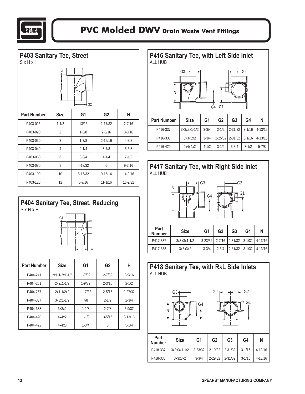







| <b>Part Number</b> | <b>Size</b>     | G1          | G <sub>2</sub> | н           |
|--------------------|-----------------|-------------|----------------|-------------|
| P404-241           | $2x1-1/2x1-1/2$ | $1 - 7/32$  | $2 - 7/32$     | $2 - 9/16$  |
| P404-251           | $2x2x1-1/2$     | $1 - 9/32$  | $2 - 3/16$     | $2 - 1/2$   |
| P404-257           | $2x1 - 1/2x2$   | $1 - 17/32$ | $2 - 5/16$     | $2 - 27/32$ |
| P404-337           | $3x3x1-1/2$     | 7/8         | $2 - 1/2$      | $2 - 3/4$   |
| P404-338           | 3x3x2           | $1 - 1/8$   | $2 - 7/8$      | $2 - 9/32$  |
| P404-420           | 4x4x2           | $1 - 1/8$   | $3 - 5/16$     | $3 - 13/16$ |
| P404-422           | 4x4x3           | $1 - 3/4$   | 3              | $5 - 1/4$   |













| Part<br><b>Number</b> | <b>Size</b>                           | G1        | G <sub>2</sub>  | G3 | G4         | N           |
|-----------------------|---------------------------------------|-----------|-----------------|----|------------|-------------|
| P418-337              | $3x3x3x1-1/2$ 3-23/32 2-19/32 2-31/32 |           |                 |    | $3-1/16$   | $4 - 13/16$ |
| P418-338              | 3x3x3x2                               | $3 - 3/4$ | 2-29/32 2-31/32 |    | $3 - 1/16$ | $4 - 13/16$ |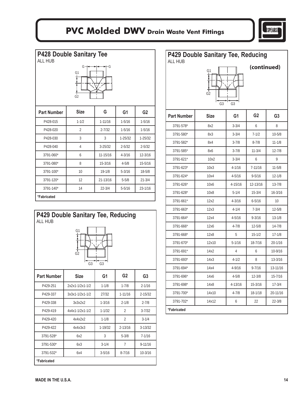

**P428 Double Sanitary Tee**  ALL HUB  $G<sub>1</sub>$ G2 G+<del>+++++++++</del>G **Part Number** | Size | G | G1 | G2 P428-015 1-1/2 1-11/16 1-5/16 1-5/16 P428-020 2 2-7/32 1-5/16 1-5/16 P428-030 3 3 1-25/32 1-25/32 P428-040 4 3-25/32 2-5/32 2-5/32 3791-060\* 6 11-15/16 4-3/16 12-3/16 3791-080\* 8 15-3/16 4-5/8 15-5/16

| *Fabricated |    |            |            |             |
|-------------|----|------------|------------|-------------|
| 3791-140*   | 14 | $22 - 3/4$ | $5 - 5/16$ | $23 - 1/16$ |
| 3791-120*   | 12 | 21-13/16   | $5 - 5/8$  | $21 - 3/4$  |
| 3791-100*   | 10 | $19 - 1/8$ | $5 - 3/16$ | $18 - 5/8$  |
|             |    |            |            |             |



| <b>ALL HUB</b><br>(continued)<br>Ģ1<br>G2<br>G3<br>G <sub>3</sub> |             |                |                |                |  |  |  |  |
|-------------------------------------------------------------------|-------------|----------------|----------------|----------------|--|--|--|--|
| <b>Part Number</b>                                                | <b>Size</b> | G <sub>1</sub> | G <sub>2</sub> | G <sub>3</sub> |  |  |  |  |
| 3791-578*                                                         | 8x2         | $3 - 3/4$      | 6              | 8              |  |  |  |  |
| 3791-580*                                                         | 8x3         | $3 - 3/4$      | $7 - 1/2$      | $10 - 5/8$     |  |  |  |  |
| 3791-582*                                                         | 8x4         | $3 - 7/8$      | $8 - 7/8$      | $11 - 1/8$     |  |  |  |  |
| 3791-585*                                                         | 8x6         | $3 - 7/8$      | $11 - 3/4$     | $12 - 7/8$     |  |  |  |  |
| 3791-621*                                                         | 10x2        | $3 - 3/4$      | 6              | 9              |  |  |  |  |
| 3791-623*                                                         | 10x3        | 4-1/16         | 7-11/16        | $11 - 5/8$     |  |  |  |  |
| 3791-624*                                                         | 10x4        | $4 - 5/16$     | $9 - 5/16$     | $12 - 1/8$     |  |  |  |  |
| 3791-626*                                                         | 10x6        | 4-15/16        | 12-13/16       | $13 - 7/8$     |  |  |  |  |
| 3791-628*                                                         | 10x8        | $5 - 1/4$      | $15 - 3/4$     | $16 - 3/16$    |  |  |  |  |
| 3791-661*                                                         | 12x2        | $4 - 3/16$     | $6 - 5/16$     | 10             |  |  |  |  |
| 3791-663*                                                         | 12x3        | $4 - 1/4$      | $7 - 3/4$      | $12 - 5/8$     |  |  |  |  |
| 3791-664*                                                         | 12x4        | $4 - 5/16$     | $9 - 3/16$     | $13 - 1/8$     |  |  |  |  |
| 3791-666*                                                         | 12x6        | $4 - 7/8$      | $12 - 5/8$     | $14 - 7/8$     |  |  |  |  |
| 3791-668*                                                         | 12x8        | 5              | $15 - 1/2$     | $17 - 1/8$     |  |  |  |  |
| 3791-670*                                                         | 12x10       | $5 - 1/16$     | 18-7/16        | 20-1/16        |  |  |  |  |
| 3791-691*                                                         | 14x2        | 4              | 6              | 10-9/16        |  |  |  |  |
| 3791-693*                                                         | 14x3        | $4 - 1/2$      | 8              | 13-3/16        |  |  |  |  |
| 3791-694*                                                         | 14x4        | $4 - 9/16$     | $9 - 7/16$     | 13-11/16       |  |  |  |  |
| 3791-696*                                                         | 14x6        | $4 - 5/8$      | $12 - 3/8$     | 15-7/16        |  |  |  |  |
| 3791-698*                                                         | 14x8        | 4-13/16        | 15-3/16        | $17 - 3/4$     |  |  |  |  |
| 3791-700*                                                         | 14x10       | $4 - 7/8$      | 18-1/18        | 20-11/16       |  |  |  |  |
| 3791-702*                                                         | 14x12       | 6              | 22             | 22-3/8         |  |  |  |  |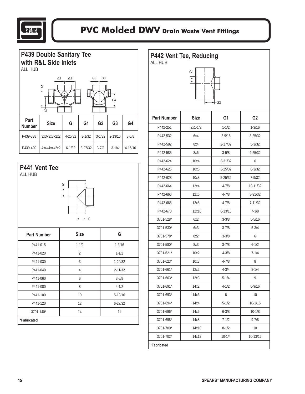

| <b>P439 Double Sanitary Tee</b><br>with R&L Side Inlets<br>ALL HUB                    |             |            |                |                |                |           |  |  |  |
|---------------------------------------------------------------------------------------|-------------|------------|----------------|----------------|----------------|-----------|--|--|--|
| G <sub>3</sub><br>G <sub>3</sub><br>G <sub>2</sub><br>G <sub>2</sub><br>G<br>G4<br>G1 |             |            |                |                |                |           |  |  |  |
| Part<br><b>Number</b>                                                                 | <b>Size</b> | G          | G <sub>1</sub> | G <sub>2</sub> | G <sub>3</sub> | G4        |  |  |  |
| P439-338                                                                              | 3x3x3x3x2x2 | 4-25/32    | $3 - 1/32$     | $3 - 1/32$     | $2 - 13/16$    | $3 - 5/8$ |  |  |  |
| P439-420                                                                              | 4x4x4x4x2x2 | $6 - 1/32$ | $3 - 27/32$    | $3 - 7/8$      | $3 - 1/4$      | 4-15/16   |  |  |  |



| P442 Vent Tee, Reducing<br><b>ALL HUB</b><br>G1<br>·G2 |             |                |                |  |  |  |  |  |
|--------------------------------------------------------|-------------|----------------|----------------|--|--|--|--|--|
| <b>Part Number</b>                                     | <b>Size</b> | G <sub>1</sub> | G <sub>2</sub> |  |  |  |  |  |
| P442-251                                               | $2x1 - 1/2$ | $1 - 1/2$      | $1 - 3/16$     |  |  |  |  |  |
| P442-532                                               | 6x4         | $2 - 9/16$     | $3 - 25/32$    |  |  |  |  |  |
| P442-582                                               | 8x4         | $2 - 17/32$    | $5 - 3/32$     |  |  |  |  |  |
| P442-585                                               | 8x6         | $3 - 5/8$      | 4-25/32        |  |  |  |  |  |
| P442-624                                               | 10x4        | $3 - 31/32$    | 6              |  |  |  |  |  |
| P442-626                                               | 10x6        | $3 - 25/32$    | $6 - 3/32$     |  |  |  |  |  |
| P442-628                                               | 10x8        | 5-25/32        | $7 - 9/32$     |  |  |  |  |  |
| P442-664                                               | 12x4        | $4 - 7/8$      | 10-11/32       |  |  |  |  |  |
| P442-666                                               | 12x6        | $4 - 7/8$      | 8-31/32        |  |  |  |  |  |
| P442-668                                               | 12x8        | $4 - 7/8$      | 7-11/32        |  |  |  |  |  |
| P442-670                                               | 12x10       | $6 - 13/16$    | $7 - 3/8$      |  |  |  |  |  |
| 3701-528*                                              | 6x2         | $3 - 3/8$      | $5 - 5/16$     |  |  |  |  |  |
| 3701-530*                                              | 6x3         | $3 - 7/8$      | $5 - 3/4$      |  |  |  |  |  |
| 3701-578*                                              | 8x2         | $3 - 3/8$      | 6              |  |  |  |  |  |
| 3701-580*                                              | 8x3         | $3 - 7/8$      | $6 - 1/2$      |  |  |  |  |  |
| 3701-621*                                              | 10x2        | $4 - 3/8$      | $7 - 1/4$      |  |  |  |  |  |
| 3701-623*                                              | 10x3        | $4 - 7/8$      | 8              |  |  |  |  |  |
| 3701-661*                                              | 12x2        | $4 - 3/4$      | $8 - 1/4$      |  |  |  |  |  |
| 3701-663*                                              | 12x3        | $5 - 1/4$      | 9              |  |  |  |  |  |
| 3701-691*                                              | 14x2        | $4 - 1/2$      | $8 - 9/16$     |  |  |  |  |  |
| 3701-693*                                              | 14x3        | 6              | 10             |  |  |  |  |  |
| 3701-694*                                              | 14x4        | $5 - 1/2$      | $10 - 1/16$    |  |  |  |  |  |
| 3701-696*                                              | 14x6        | $6 - 3/8$      | $10 - 1/8$     |  |  |  |  |  |
| 3701-698*                                              | 14x8        | $7 - 1/2$      | $9 - 7/8$      |  |  |  |  |  |
| 3701-700*                                              | 14x10       | $8 - 1/2$      | 10             |  |  |  |  |  |
| 3701-702*                                              | 14x12       | $10 - 1/4$     | 10-13/16       |  |  |  |  |  |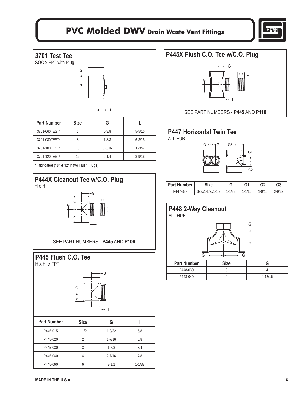

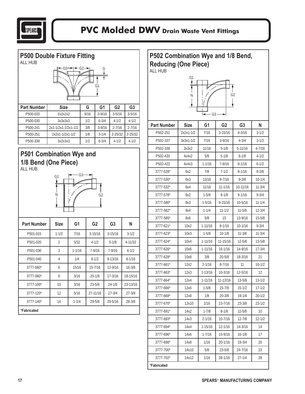

| <b>P500 Double Fixture Fitting</b><br><b>ALL HUB</b> |                     |                |      |                |                |                |                |
|------------------------------------------------------|---------------------|----------------|------|----------------|----------------|----------------|----------------|
|                                                      | G3                  |                | G2   | G1             |                |                |                |
| <b>Part Number</b>                                   | <b>Size</b>         |                | G    |                | G <sub>1</sub> | G <sub>2</sub> | G <sub>3</sub> |
| P500-020                                             | 2x2x2x2             |                | 9/16 |                | $3 - 9/16$     | $3 - 5/16$     | $3 - 5/16$     |
| P500-030                                             | 3x3x3x3             |                | 1/2  |                | $6 - 3/4$      | $4 - 1/2$      | $4 - 1/2$      |
| P500-241                                             | 2x1-1/2x1-1/2x1-1/2 |                | 3/8  |                | $3 - 9/16$     | $2 - 7/16$     | $2 - 7/16$     |
| P500-251                                             | 2x2x1-1/2x1-1/2     |                | 1/8  |                | $3 - 1/4$      | $2 - 25/32$    | 2-25/32        |
| P500-338                                             | 3x2x3x3             |                | 1/2  |                | $6 - 3/4$      | $4 - 1/2$      | $4 - 1/2$      |
|                                                      | Ν                   |                |      | G2             |                |                |                |
| <b>Part Number</b>                                   | <b>Size</b>         | G <sub>1</sub> |      | G <sub>2</sub> |                | G <sub>3</sub> | N              |
| P501-015                                             | $1 - 1/2$           | 7/16           |      | $3 - 15/16$    |                | $3 - 15/16$    | $3 - 1/2$      |
| P501-020                                             | 2                   | 5/32           |      | $4 - 1/2$      |                | $5 - 1/8$      | 4-11/32        |
| P501-030                                             | 3                   | $1 - 1/16$     |      | $7 - 9/16$     |                | $7 - 9/16$     | $6 - 1/2$      |
| P501-040                                             | 4                   | 1/4            |      | $8 - 1/2$      |                | $9 - 13/16$    | $8 - 1/16$     |
| 3777-060*                                            | 6                   | 15/16          |      | 15-7/16        |                | 12-9/16        | $16 - 3/8$     |
| 3777-080*                                            | 8                   | 3/16           |      | $20 - 1/8$     |                | 17-3/16        | 19-15/16       |
| 3777-100*                                            | 10                  | 3/16           |      | $23 - 5/8$     |                | $24 - 1/8$     | 23-13/16       |
| 3777-120*                                            | 12                  | 5/16           |      | 27-11/16       |                | $27 - 3/4$     | $27 - 3/8$     |
| 3777-140*                                            | 14                  | $1 - 1/4$      |      | $29 - 5/8$     |                | 29-5/16        | $28 - 3/8$     |
|                                                      |                     |                |      |                |                |                |                |

**P502 Combination Wye and 1/8 Bend, Reducing (One Piece)**  ALL HUB  $N \parallel \frac{1}{\sqrt{2}}$  G2 G1

 $\overline{\phantom{a}}$ 

| $\leftarrow$ G3 $\rightarrow$ |           |             |                |             |            |  |  |
|-------------------------------|-----------|-------------|----------------|-------------|------------|--|--|
| <b>Part Number</b>            | Size      | G1          | G <sub>2</sub> | G3          | N          |  |  |
| P502-251                      | 2x2x1-1/2 | 7/16        | $3 - 15/16$    | $4 - 3/16$  | $3 - 1/2$  |  |  |
| P502-337                      | 3x3x1-1/2 | 7/16        | $3 - 9/16$     | $4 - 3/4$   | $3 - 1/2$  |  |  |
| P502-338                      | 3x3x2     | 11/16       | $5 - 1/8$      | 5-11/16     | 4-7/16     |  |  |
| P502-420                      | 4x4x2     | 5/8         | $5 - 1/8$      | $6 - 1/8$   | 4-1/2      |  |  |
| P502-422                      | 4x4x3     | $1 - 1/16$  | $7 - 9/16$     | $8 - 1/16$  | $6 - 1/2$  |  |  |
| 3777-528*                     | 6x2       | 7/8         | $7 - 1/2$      | $8 - 1/16$  | $8 - 3/8$  |  |  |
| 3777-530*                     | 6х3       | 13/16       | $9 - 7/16$     | $9 - 3/8$   | 10-1/4     |  |  |
| 3777-532*                     | 6x4       | 11/16       | $11 - 1/16$    | 10-11/16    | $11 - 3/4$ |  |  |
| 3777-578*                     | 8x2       | $1 - 5/8$   | $8 - 1/8$      | $9 - 1/16$  | $9 - 3/4$  |  |  |
| 3777-580*                     | 8x3       | $1 - 5/16$  | $9 - 15/16$    | 10-5/16     | $11 - 1/4$ |  |  |
| 3777-582*                     | 8x4       | $1 - 1/4$   | 11-1/2         | $11 - 5/8$  | $12 - 3/4$ |  |  |
| 3777-585*                     | 8x6       | 5/8         | 15             | 13-9/16     | $15 - 5/8$ |  |  |
| 3777-621*                     | 10x2      | $1 - 11/16$ | $8 - 1/16$     | $10 - 1/16$ | $9 - 3/4$  |  |  |
| 3777-623*                     | 10x3      | $1 - 5/8$   | $10 - 1/8$     | $11 - 3/8$  | $11 - 3/4$ |  |  |
| 3777-624*                     | 10x4      | 1-11/16     | 11-15/16       | $12 - 5/8$  | $13 - 5/8$ |  |  |
| 3777-626*                     | 10x6      | $1 - 11/16$ | 16-1/16        | 14-9/16     | $17 - 3/4$ |  |  |
| 3777-628*                     | 10x8      | 3/8         | $20 - 5/8$     | 18-3/16     | 21         |  |  |
| 3777-661*                     | 12x2      | $2 - 1/16$  | $8 - 7/16$     | 11          | $10 - 1/2$ |  |  |
| 3777-663*                     | 12x3      | $1 - 13/16$ | $10 - 3/16$    | 12-5/16     | 12         |  |  |
| 3777-664*                     | 12x4      | $1 - 11/16$ | 11-13/16       | $13 - 5/8$  | $13 - 1/2$ |  |  |
| 3777-666*                     | 12x6      | $1 - 5/8$   | $15 - 7/8$     | $15 - 1/2$  | $17 - 1/2$ |  |  |
| 3777-668*                     | 12x8      | 1/8         | 20-3/8         | 19-1/8      | $20 - 1/2$ |  |  |
| 3777-670*                     | 12x10     | 1/16        | 23-7/16        | $23 - 3/8$  | $23 - 1/2$ |  |  |
| 3777-691*                     | 14x2      | $1 - 7/8$   | $8 - 1/8$      | $11 - 5/8$  | 10         |  |  |
| 3777-693*                     | 14x3      | $2 - 1/16$  | 10-7/16        | $12 - 7/8$  | $12 - 1/2$ |  |  |
| 3777-694*                     | 14x4      | 1-15/16     | 12-1/16        | 14-3/16     | 14         |  |  |
| 3777-696*                     | 14x6      | $1 - 7/16$  | 15-9/16        | $16 - 1/8$  | 17         |  |  |
| 3777-698*                     | 14x8      | 1/16        | 20-1/16        | $19 - 3/4$  | 20         |  |  |
| 3777-700*                     | 14x10     | 5/8         | $23 - 5/8$     | 24-7/16     | 23         |  |  |
| 3777-702*                     | 14x12     | 1/16        | 28-1/16        | $27 - 1/4$  | 28         |  |  |
| *Fabricated                   |           |             |                |             |            |  |  |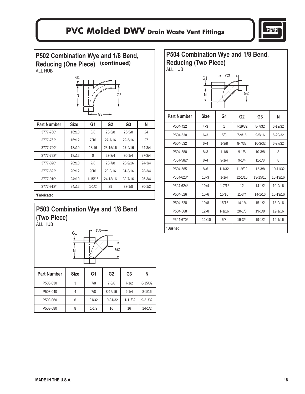

**P502 Combination Wye and 1/8 Bend, Reducing (One Piece) (continued)** ALL HUB



| <b>Part Number</b> | <b>Size</b> | G <sub>1</sub> | G <sub>2</sub> | G <sub>3</sub> | N          |
|--------------------|-------------|----------------|----------------|----------------|------------|
| $3777 - 760*$      | 16x10       | 3/8            | $23 - 5/8$     | $26 - 5/8$     | 24         |
| $3777 - 762*$      | 16x12       | 7/16           | $27 - 7/16$    | 29-5/16        | 27         |
| 3777-790*          | 18x10       | 13/16          | 23-15/16       | 27-9/16        | $24 - 3/4$ |
| $3777 - 792*$      | 18x12       | $\Omega$       | $27 - 3/4$     | $30 - 1/4$     | $27 - 3/4$ |
| 3777-820*          | 20x10       | 7/8            | $23 - 7/8$     | 28-9/16        | $24 - 3/4$ |
| 3777-822*          | 20x12       | 9/16           | 28-3/16        | $31 - 3/16$    | $28 - 3/4$ |
| 3777-910*          | 24x10       | $1 - 15/16$    | 24-13/16       | $30 - 7/16$    | $26 - 3/4$ |
| 3777-912*          | 24x12       | $1 - 1/2$      | 29             | $33 - 1/8$     | $30 - 1/2$ |
| *Fabricated        |             |                |                |                |            |

### **P503 Combination Wye and 1/8 Bend (Two Piece)**  ALL HUB

G2 G3 N G1 Part Number | Size | G1 | G2 | G3 | N P503-030 3 7/8 7-3/8 7-1/2 6-15/32 P503-040 4 7/8 8-15/16 9-1/4 8-1/16 P503-060 6 31/32 10-31/32 11-11/32 9-31/32 P503-080 | 8 | 1-1/2 | 16 | 16 | 14-1/2

### **P504 Combination Wye and 1/8 Bend, Reducing (Two Piece)**  ALL HUB G1  $\leftarrow$  G3  $N \parallel / \sim$  G2  $\mathbf{I}$ **Part Number | Size | G1 | G2 | G3 | N** P504-422 4x3 1 7-19/32 8-7/32 6-19/32 P504-530 6x3 5/8 7-9/16 9-5/16 6-29/32 P504-532 6x4 1-3/8 8-7/32 10-3/32 6-27/32 P504-580 8x3 1-1/8 9-1/8 10-3/8 8 P504-582\* 8x4 9-1/4 9-1/4 11-1/8 8 P504-585 8x6 1-1/32 11-9/32 12-3/8 10-11/32 P504-623\* 10x3 1-1/4 12-1/16 13-15/16 10-13/16 P504-624\* 10x4 -1-7/16 12 14-1/2 10-9/16 P504-626 10x6 15/16 11-3/4 14-1/16 10-13/16 P504-628 | 10x8 | 15/16 | 14-1/4 | 15-1/2 | 13-9/16 P504-668 12x8 1-1/16 20-1/8 19-1/8 19-1/16 P504-670\* 12x10 5/8 19-3/4 19-1/2 19-1/16

**\*Bushed**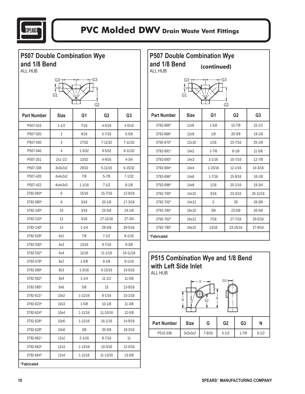

| <b>P507 Double Combination Wye</b><br>and 1/8 Bend<br>ALL HUB | G3             |             | G3             |                | <b>P507 Double Combination Wye</b><br>and 1/8 Bend<br>ALL HUB | G3.         | (continued)      | G3             |                |                |
|---------------------------------------------------------------|----------------|-------------|----------------|----------------|---------------------------------------------------------------|-------------|------------------|----------------|----------------|----------------|
|                                                               | G1             |             | G <sub>2</sub> |                |                                                               | G1          |                  | G <sub>2</sub> |                |                |
| <b>Part Number</b>                                            | <b>Size</b>    | G1          | G <sub>2</sub> | G <sub>3</sub> | <b>Part Number</b>                                            | <b>Size</b> | G <sub>1</sub>   |                | G <sub>2</sub> | G <sub>3</sub> |
| P507-015                                                      | $1 - 1/2$      | 7/16        | $4 - 5/16$     | $4 - 5/16$     | 3792-666*                                                     | 12x6        | $1 - 5/8$        |                | $15 - 7/8$     | $15 - 1/2$     |
| P507-020                                                      | $\overline{2}$ | 9/16        | $5 - 7/16$     | $5 - 5/8$      | 3792-668*                                                     | 12x8        | 1/8              |                | $20 - 3/8$     | $19 - 1/8$     |
| P507-030                                                      | 3              | 27/32       | $7 - 11/32$    | $7 - 11/32$    | 3792-670*                                                     | 12x10       | 1/16             |                | 23-7/16        | $25 - 1/8$     |
| P507-040                                                      | 4              | $1 - 5/32$  | $9 - 5/32$     | $9 - 11/32$    | 3792-691*                                                     | 14x2        | $1 - 7/8$        |                | $8 - 1/8$      | $11 - 5/8$     |
| P507-251                                                      | $2x1 - 1/2$    | 13/32       | $4 - 9/16$     | $4 - 3/4$      | 3792-693*                                                     | 14x3        | $2 - 1/16$       |                | $10 - 7/16$    | $12 - 7/8$     |
| P507-338                                                      | 3x3x2x2        | 29/32       | $5 - 11/16$    | $6 - 15/32$    | 3792-694*                                                     | 14x4        | $1 - 15/16$      |                | $12 - 1/16$    | $14 - 3/16$    |
| P507-420                                                      | 4x4x2x2        | 7/8         | $5 - 7/8$      | $7 - 1/32$     | 3792-696*                                                     | 14x6        | $1 - 7/16$       |                | 15-9/16        | $16 - 1/8$     |
| P507-422                                                      | 4x4x3x3        | $1 - 1/16$  | $7 - 1/2$      | $8 - 1/8$      | 3792-698*                                                     | 14x8        | 1/16             |                | $20 - 1/16$    | $19 - 3/4$     |
| 3792-060*                                                     | 6              | 15/16       | 15-7/16        | 12-9/16        | 3792-700*                                                     | 14x10       | 3/16             |                | $23 - 3/16$    | 25-11/16       |
| 3792-080*                                                     | 8              | 3/16        | $20 - 1/8$     | 17-3/16        | 3792-702*                                                     | 14x12       | $\boldsymbol{0}$ |                | 28             | $28 - 3/8$     |
| 3792-100*                                                     | 10             | 3/16        | $23 - 5/8$     | $24 - 1/8$     | 3792-760*                                                     | 16x10       | 3/8              |                | $23 - 5/8$     | $26 - 5/8$     |
| 3792-120*                                                     | 12             | 5/16        | 27-11/16       | $27 - 3/4$     | 3792-762*                                                     | 16x12       | 7/16             |                | $27 - 7/16$    | 29-5/16        |
| 3792-140*                                                     | 14             | $1 - 1/4$   | $29 - 5/8$     | 29-5/16        | 3792-790*                                                     | 18x10       | 13/16            |                | 23-15/16       | 27-9/16        |
| 3792-528*                                                     | 6x2            | 7/8         | $7 - 1/2$      | $8 - 1/16$     | *Fabricated                                                   |             |                  |                |                |                |
| 3792-530*                                                     | 6x3            | 13/16       | $9 - 7/16$     | $9 - 3/8$      |                                                               |             |                  |                |                |                |
| 3792-532*                                                     | 6x4            | 11/16       | $11 - 1/16$    | 10-11/16       |                                                               |             |                  |                |                |                |
| 3792-578*                                                     | 8x2            | $1 - 5/8$   | $8 - 1/8$      | $9 - 1/16$     | P515 Combination Wye and 1/8 Bend                             |             |                  |                |                |                |
| 3792-580*                                                     | 8x3            | $1 - 5/16$  | $9 - 15/16$    | 10-5/16        | with Left Side Inlet<br>ALL HUB                               |             |                  |                |                |                |
| 3792-582*                                                     | 8x4            | $1 - 1/4$   | $11 - 1/2$     | $11 - 5/8$     |                                                               |             |                  | G3             |                |                |
| 3792-585*                                                     | 8х6            | 5/8         | 15             | 13-9/16        |                                                               |             |                  |                |                |                |
| 3792-621*                                                     | 10x2           | $1 - 11/16$ | $8 - 1/16$     | 10-1/16        |                                                               |             | G                |                |                |                |
| 3792-623*                                                     | 10x3           | $1 - 5/8$   | $10 - 1/8$     | $11 - 3/8$     |                                                               | Ν           | G2               |                |                |                |
| 3792-624*                                                     | 10x4           | $1 - 11/16$ | 11-15/16       | $12 - 5/8$     |                                                               |             |                  |                |                |                |
| 3792-626*                                                     | 10x6           | $1 - 11/16$ | $16 - 1/16$    | 14-9/16        | <b>Part Number</b>                                            | <b>Size</b> | G                | G <sub>2</sub> | G <sub>3</sub> | N              |
| 3792-628*                                                     | 10x8           | 3/8         | $20 - 5/8$     | 18-3/16        |                                                               |             |                  |                |                |                |
| 3792-661*                                                     | 12x2           | $2 - 1/16$  | $8 - 7/16$     | 11             | P515-338                                                      | 3x3x3x2     | $7 - 9/16$       | $5 - 1/2$      | $1 - 7/8$      | $6 - 1/2$      |
| 3792-663*                                                     | 12x3           | $1 - 13/16$ | $10 - 3/16$    | 12-5/16        |                                                               |             |                  |                |                |                |
| 3792-664*                                                     | 12x4           | $1 - 11/16$ | 11-13/16       | $13 - 5/8$     |                                                               |             |                  |                |                |                |

**\*Fabricated**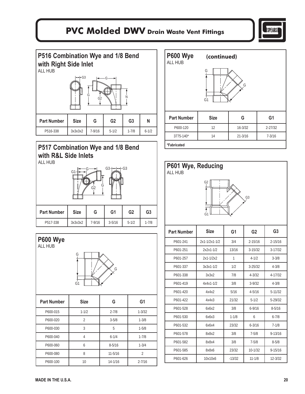

**P516 Combination Wye and 1/8 Bend with Right Side Inlet**  ALL HUB

|                    | $\leftarrow$ FG3 | G<br>G <sub>2</sub> |                | N              |           |
|--------------------|------------------|---------------------|----------------|----------------|-----------|
| <b>Part Number</b> | <b>Size</b>      | G                   | G <sub>2</sub> | G <sub>3</sub> | N         |
| P516-338           | 3x3x3x2          | $7 - 9/16$          | $5 - 1/2$      | $1 - 7/8$      | $6 - 1/2$ |

#### **P517 Combination Wye and 1/8 Bend with R&L Side Inlets**  ALL HUB





| <b>P600 Wye</b><br><b>ALL HUB</b> | (continued) |             |                |  |  |  |
|-----------------------------------|-------------|-------------|----------------|--|--|--|
| G<br>G<br>G1                      |             |             |                |  |  |  |
| <b>Part Number</b>                | <b>Size</b> | G           | G <sub>1</sub> |  |  |  |
| P600-120                          | 12          | $16 - 3/32$ | $2 - 27/32$    |  |  |  |
| 3775-140*                         | 14          | $21 - 3/16$ | $7 - 3/16$     |  |  |  |
| *Fabricated                       |             |             |                |  |  |  |



| P601-251 | 2x2x1-1/2     | 13/16     | $3 - 15/32$ | $3 - 17/32$ |
|----------|---------------|-----------|-------------|-------------|
| P601-257 | $2x1 - 1/2x2$ | 1         | $4 - 1/2$   | $3 - 3/8$   |
| P601-337 | $3x3x1-1/2$   | 1/2       | $3 - 25/32$ | $4 - 3/8$   |
| P601-338 | 3x3x2         | 7/8       | $4 - 3/32$  | 4-17/32     |
| P601-419 | $4x4x1-1/2$   | 3/8       | $3 - 9/32$  | $4 - 3/8$   |
| P601-420 | 4x4x2         | 5/16      | $4 - 5/16$  | $5 - 11/32$ |
| P601-422 | 4x4x3         | 21/32     | $5 - 1/2$   | 5-29/32     |
| P601-528 | 6x6x2         | 3/8       | $6 - 9/16$  | $8 - 5/16$  |
| P601-530 | 6x6x3         | $1 - 1/8$ | 6           | $6 - 7/8$   |
| P601-532 | 6x6x4         | 23/32     | $6 - 3/16$  | $7 - 1/8$   |
| P601-578 | 8x8x2         | 3/8       | $7 - 5/8$   | $9 - 13/16$ |
| P601-582 | 8x8x4         | 3/8       | $7 - 5/8$   | $8 - 5/8$   |
| P601-585 | 8x8x6         | 23/32     | $10 - 1/32$ | $9 - 15/16$ |
| P601-626 | 10x10x6       | $-13/32$  | $11 - 1/8$  | $12 - 3/32$ |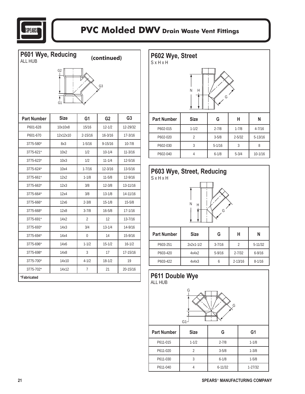

**P601 Wye, Reducing (continued)** ALL HUB

# G1 G2 G3

| <b>Part Number</b> | <b>Size</b> | G <sub>1</sub> | G <sub>2</sub> | G <sub>3</sub> |
|--------------------|-------------|----------------|----------------|----------------|
| P601-628           | 10x10x8     | 15/16          | $12 - 1/2$     | 12-29/32       |
| P601-670           | 12x12x10    | $2 - 15/16$    | $16 - 3/16$    | $17 - 3/16$    |
| 3775-580*          | 8x3         | $1 - 5/16$     | $9 - 15/16$    | $10 - 7/8$     |
| 3775-621*          | 10x2        | 1/2            | $10 - 1/4$     | $11 - 3/16$    |
| 3775-623*          | 10x3        | 1/2            | $11 - 1/4$     | $12 - 5/16$    |
| 3775-624*          | 10x4        | $1 - 7/16$     | $12 - 3/16$    | 13-5/16        |
| $3775 - 661*$      | 12x2        | $1 - 1/8$      | $11 - 5/8$     | 12-9/16        |
| 3775-663*          | 12x3        | 3/8            | $12 - 3/8$     | 13-11/16       |
| 3775-664*          | 12x4        | 3/8            | $13 - 1/8$     | 14-11/16       |
| 3775-666*          | 12x6        | $2 - 3/8$      | $15 - 1/8$     | $15 - 5/8$     |
| 3775-668*          | 12x8        | $3 - 7/8$      | $16 - 5/8$     | $17 - 1/16$    |
| 3775-691*          | 14x2        | $\overline{2}$ | 12             | $13 - 7/16$    |
| 3775-693*          | 14x3        | 3/4            | $13 - 1/4$     | 14-9/16        |
| 3775-694*          | 14x4        | 0              | 14             | 15-9/16        |
| 3775-696*          | 14x6        | $1 - 1/2$      | $15 - 1/2$     | $16 - 1/2$     |
| 3775-698*          | 14x8        | 3              | 17             | 17-15/16       |
| 3775-700*          | 14x10       | $4 - 1/2$      | $18 - 1/2$     | 19             |
| $3775 - 702*$      | 14x12       | $\overline{7}$ | 21             | $20 - 15/16$   |
| *Fabricated        |             |                |                |                |







 $G<sub>1</sub>$ 



| <b>Part Number</b> | <b>Size</b> | G           | G1          |
|--------------------|-------------|-------------|-------------|
| P611-015           | $1 - 1/2$   | $2 - 7/8$   | $1 - 1/8$   |
| P611-020           |             | $3 - 5/8$   | $1 - 3/8$   |
| P611-030           |             | $6 - 1/8$   | $1 - 5/8$   |
| P611-040           |             | $6 - 11/32$ | $1 - 27/32$ |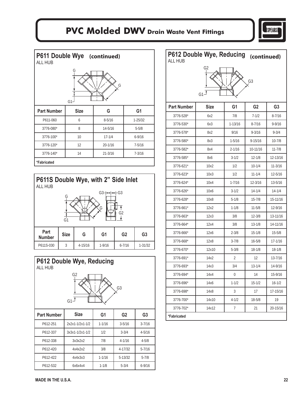

| P611 Double Wye (continued)<br><b>ALL HUB</b> |             |             |                |  |  |
|-----------------------------------------------|-------------|-------------|----------------|--|--|
| G<br>Ģ<br>G1                                  |             |             |                |  |  |
| <b>Part Number</b>                            | <b>Size</b> | G           | G <sub>1</sub> |  |  |
| P611-060                                      | 6           | $8 - 5/16$  | $1 - 25/32$    |  |  |
|                                               |             |             |                |  |  |
| 3776-080*                                     | 8           | 14-5/16     | $5 - 5/8$      |  |  |
| 3776-100*                                     | 10          | $17 - 1/4$  | $6 - 9/16$     |  |  |
| 3776-120*                                     | 12          | $20 - 1/16$ | $7 - 5/16$     |  |  |

**\*Fabricated**

| P611S Double Wye, with 2" Side Inlet<br><b>ALL HUB</b> |             |             |                |                |                |  |  |
|--------------------------------------------------------|-------------|-------------|----------------|----------------|----------------|--|--|
| -G3<br>G3-<br>G<br>G<br>G <sub>2</sub><br>G1           |             |             |                |                |                |  |  |
| Part<br><b>Number</b>                                  | <b>Size</b> | G           | G <sub>1</sub> | G <sub>2</sub> | G <sub>3</sub> |  |  |
| P611S-030                                              | 3           | $4 - 15/16$ | $1 - 9/16$     | $6 - 7/16$     | $1 - 31/32$    |  |  |



P612-338 3x3x2x2 7/8 4-1/16 4-5/8 P612-420 4x4x2x2 3/8 4-17/32 5-7/16 P612-422 4x4x3x3 1-1-1/16 5-13/32 5-7/8 P612-532 6x6x4x4 1-1/8 5-3/4 6-9/16

| <b>ALL HUB</b>         | P612 Double Wye, Reducing (continued)<br>G <sub>2</sub> |                    | G3                      |                          |
|------------------------|---------------------------------------------------------|--------------------|-------------------------|--------------------------|
|                        | $G1^{\uparrow}$                                         |                    |                         |                          |
| <b>Part Number</b>     | <b>Size</b>                                             | G1                 | G <sub>2</sub>          | G <sub>3</sub>           |
| 3776-528*<br>3776-530* | 6x2<br>6x3                                              | 7/8<br>$1 - 13/16$ | $7 - 1/2$<br>$8 - 7/16$ | $8 - 7/16$<br>$9 - 9/16$ |
| 3776-578*              | 8x2                                                     | 9/16               | $9 - 3/16$              | $9 - 3/4$                |
| 3776-580*              | 8x3                                                     | $1 - 5/16$         | $9 - 15/16$             | $10 - 7/8$               |
| 3776-582*              | 8x4                                                     | 2-1/16             | 10-11/16                | $11 - 7/8$               |
| 3776-585*              | 8x6                                                     | $3 - 1/2$          | $12 - 1/8$              | 12-13/16                 |
| 3776-621*              | 10x2                                                    | 1/2                | $10 - 1/4$              | $11 - 3/16$              |
| 3776-623*              | 10x3                                                    | 1/2                | $11 - 1/4$              | 12-5/16                  |
| 3776-624*              | 10x4                                                    | $1 - 7/16$         | $12 - 3/16$             | 13-5/16                  |
| 3776-626*              | 10x6                                                    | $3 - 1/2$          | $14 - 1/4$              | $14 - 1/4$               |
| 3776-628*              | 10x8                                                    | $5 - 1/8$          | $15 - 7/8$              | 15-11/16                 |
| 3776-661*              | 12x2                                                    | $1 - 1/8$          | $11 - 5/8$              | 12-9/16                  |
| 3776-663*              | 12x3                                                    | 3/8                | $12 - 3/8$              | 13-11/16                 |
| 3776-664*              | 12x4                                                    | 3/8                | $13 - 1/8$              | 14-11/16                 |
| 3776-666*              | 12x6                                                    | $2 - 3/8$          | $15 - 1/8$              | $15 - 5/8$               |
| 3776-668*              | 12x8                                                    | $3 - 7/8$          | $16 - 5/8$              | $17 - 1/16$              |
| 3776-670*              | 12x10                                                   | $5 - 3/8$          | $18 - 1/8$              | $18 - 1/8$               |
| 3776-691*              | 14x2                                                    | 2                  | 12                      | 13-7/16                  |
| 3776-693*              | 14x3                                                    | 3/4                | $13 - 1/4$              | 14-9/16                  |
| 3776-694*              | 14х4                                                    | 0                  | 14                      | 15-9/16                  |
| 3776-696*              | 14x6                                                    | $1 - 1/2$          | $15 - 1/2$              | $16 - 1/2$               |
| 3776-698*              | 14x8                                                    | 3                  | 17                      | 17-15/16                 |
| 3776-700*              | 14x10                                                   | $4 - 1/2$          | 18-5/8                  | 19                       |
| 3776-702*              | 14x12                                                   | 7                  | 21                      | 20-15/16                 |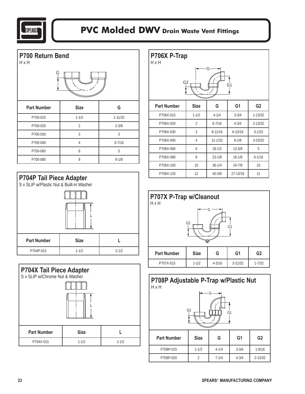

| P700 Return Bend<br>HxH |                |             |  |  |  |  |
|-------------------------|----------------|-------------|--|--|--|--|
| Ģ                       |                |             |  |  |  |  |
| <b>Part Number</b>      | <b>Size</b>    | G           |  |  |  |  |
| P700-015                | $1 - 1/2$      | $1 - 11/32$ |  |  |  |  |
| P700-020                | $\overline{2}$ | $2 - 3/8$   |  |  |  |  |
| P700-030                | 3              | 3           |  |  |  |  |
| P700-040                | $\overline{4}$ | $3 - 7/16$  |  |  |  |  |
| P700-060                | 6              | 5           |  |  |  |  |
| P700-080                | 8              | $6 - 1/8$   |  |  |  |  |





| P706X P-Trap<br>H x H                 |                |             |                |                 |  |  |  |
|---------------------------------------|----------------|-------------|----------------|-----------------|--|--|--|
| G<br>G <sub>2</sub><br>G <sub>1</sub> |                |             |                |                 |  |  |  |
| <b>Part Number</b>                    | <b>Size</b>    | G           | G <sub>1</sub> | G <sub>2</sub>  |  |  |  |
| P706X-015                             | $1 - 1/2$      | $4 - 1/4$   | $3 - 3/4$      | $1 - 13/32$     |  |  |  |
| P706X-020                             | $\overline{2}$ | $6 - 7/16$  | $4 - 3/4$      | $2 - 13/32$     |  |  |  |
| P706X-030                             | 3              | $8 - 11/16$ | $6 - 15/16$    | $3 - 1/32$      |  |  |  |
| P706X-040                             | 4              | $11 - 1/32$ | $8 - 1/8$      | $3 - 23/32$     |  |  |  |
| P706X-060                             | 6              | $18 - 1/2$  | $13 - 3/8$     | 5               |  |  |  |
| P706X-080                             | 8              | $23 - 1/8$  | $16 - 1/8$     | $6 - 1/16$      |  |  |  |
| P706X-100                             | 10             | $36 - 1/4$  | $24 - 7/8$     | 10 <sup>1</sup> |  |  |  |
| P706X-120                             | 12             | $40 - 3/8$  | 27-13/16       | 11              |  |  |  |



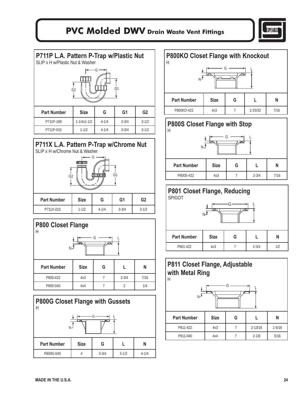

#### **P711P L.A. Pattern P-Trap w/Plastic Nut**



#### **P711X L.A. Pattern P-Trap w/Chrome Nut**  SLIP x H w/Chrome Nut & Washer







| <b>P800KO Closet Flange with Knockout</b>   |  |
|---------------------------------------------|--|
| Н                                           |  |
| ۳∟<br>ഫ்ட்                                  |  |
| <b>Part Number</b><br><b>Size</b><br>G<br>N |  |
| $2 - 25/32$<br>4x3<br>7/16<br>P800KO-422    |  |

### **P800S Closet Flange with Stop**

| N-                 | lata.       | ਜ਼ਾਦਾ |           |      |
|--------------------|-------------|-------|-----------|------|
| <b>Part Number</b> | <b>Size</b> | G     |           | N    |
| P800S-422          | 4x3         |       | $2 - 3/4$ | 7/16 |

### **P801 Closet Flange, Reducing**  SPIGOT L N G Part Number | Size | G | L | N P801-422 4x3 7 2-3/4 1/2

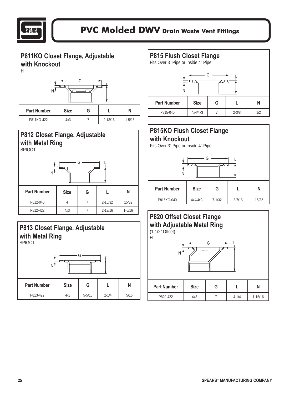

**P811KO Closet Flange, Adjustable with Knockout**  H L N G Part Number Size G L L N

P811KO-422 4x3 7 2-13/16 1-5/16

### **P812 Closet Flange, Adjustable with Metal Ring**

SPIGOT

| <b>Part Number</b> | <b>Size</b> | G |             | N          |  |  |  |
|--------------------|-------------|---|-------------|------------|--|--|--|
| P812-040           |             |   | $2 - 15/32$ | 15/32      |  |  |  |
| P812-422           | 4x3         |   | $2 - 13/16$ | $1 - 5/16$ |  |  |  |



### **P815 Flush Closet Flange**  Fits Over 3" Pipe or Inside 4" Pipe G N L Part Number Size G L L N P815-040 4x4/4x3 7 2-3/8 1/2

#### **P815KO Flush Closet Flange with Knockout**

Fits Over 3" Pipe or Inside 4" Pipe



### **P820 Offset Closet Flange with Adjustable Metal Ring**

(1-1/2" Offset)



#### **25 SPEARS**® **MANUFACTURING COMPANY**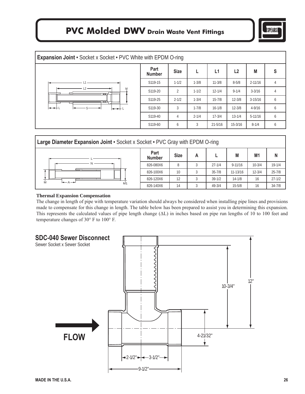

| <b>Expansion Joint · Socket x Socket · PVC White with EPDM O-ring</b> |                       |                |           |             |             |             |   |
|-----------------------------------------------------------------------|-----------------------|----------------|-----------|-------------|-------------|-------------|---|
|                                                                       | Part<br><b>Number</b> | <b>Size</b>    | L         | L1          | L2          | M           | S |
|                                                                       | S119-15               | $1 - 1/2$      | $1 - 3/8$ | $11 - 3/8$  | $8 - 5/8$   | $2 - 11/16$ | 4 |
| M<br>--                                                               | S119-20               | $\overline{2}$ | $1 - 1/2$ | $12 - 1/4$  | $9 - 1/4$   | $3 - 3/16$  | 4 |
|                                                                       | S119-25               | $2 - 1/2$      | $1 - 3/4$ | $15 - 7/8$  | $12 - 3/8$  | $3-15/16$   | 6 |
| ╺<br>╼                                                                | S119-30               | 3              | $1 - 7/8$ | $16 - 1/8$  | $12 - 3/8$  | $4 - 9/16$  | 6 |
|                                                                       | S119-40               | 4              | $2 - 1/4$ | $17 - 3/4$  | $13 - 1/4$  | $5-11/16$   | 6 |
|                                                                       | S119-60               | 6              | 3         | $21 - 5/16$ | $15 - 3/16$ | $8 - 1/4$   | 6 |
|                                                                       |                       |                |           |             |             |             |   |

| Large Diameter Expansion Joint . Socket x Socket . PVC Gray with EPDM O-ring |                       |             |   |            |             |                |            |
|------------------------------------------------------------------------------|-----------------------|-------------|---|------------|-------------|----------------|------------|
|                                                                              | Part<br><b>Number</b> | <b>Size</b> | А |            | M           | M <sub>1</sub> | N          |
|                                                                              | 826-080X6             | 8           |   | $27 - 1/4$ | $9 - 11/16$ | $10 - 3/4$     | $19 - 1/4$ |
| $- - -$                                                                      | 826-100X6             | 10          |   | $35 - 7/8$ | 11-13/16    | $12 - 3/4$     | $25 - 7/8$ |
|                                                                              | 826-120X6             | 12          |   | $39 - 1/2$ | $14 - 1/8$  | 16             | $27 - 1/2$ |
| $\leftarrow \leftarrow \leftarrow$<br>M1                                     | 826-140X6             | 14          |   | $49 - 3/4$ | $15 - 5/8$  | 16             | $34 - 7/8$ |

#### **Thermal Expansion Compensation**

The change in length of pipe with temperature variation should always be considered when installing pipe lines and provisions made to compensate for this change in length. The table below has been prepared to assist you in determining this expansion. This represents the calculated values of pipe length change (ΔL) in inches based on pipe run lengths of 10 to 100 feet and temperature changes of 30° F to 100° F.

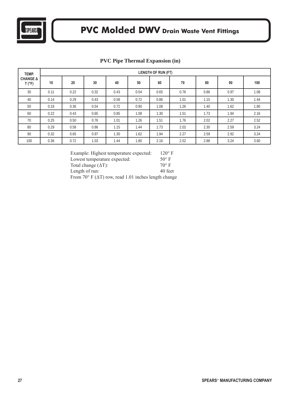

| TEMP.                             | <b>LENGTH OF RUN (FT)</b> |      |      |      |      |      |      |      |      |      |
|-----------------------------------|---------------------------|------|------|------|------|------|------|------|------|------|
| <b>CHANGE A</b><br>$T(^{\circ}F)$ | 10                        | 20   | 30   | 40   | 50   | 60   | 70   | 80   | 90   | 100  |
| 30                                | 0.11                      | 0.22 | 0.32 | 0.43 | 0.54 | 0.65 | 0.76 | 0.86 | 0.97 | 1.08 |
| 40                                | 0.14                      | 0.29 | 0.43 | 0.58 | 0.72 | 0.86 | 1.01 | 1.15 | 1.30 | 1.44 |
| 50                                | 0.18                      | 0.36 | 0.54 | 0.72 | 0.90 | 1.08 | 1.26 | 1.40 | 1.62 | 1.80 |
| 60                                | 0.22                      | 0.43 | 0.65 | 0.85 | 1.08 | 1.30 | 1.51 | 1.73 | 1.94 | 2.16 |
| 70                                | 0.25                      | 0.50 | 0.76 | 1.01 | 1.26 | 1.51 | 1.76 | 2.02 | 2.27 | 2.52 |
| 80                                | 0.29                      | 0.58 | 0.86 | 1.15 | 1.44 | 1.73 | 2.02 | 2.30 | 2.59 | 3.24 |
| 90                                | 0.32                      | 0.65 | 0.97 | 1.30 | 1.62 | 1.94 | 2.27 | 2.59 | 2.92 | 3.24 |
| 100                               | 0.36                      | 0.72 | 1.03 | 1.44 | 1.80 | 2.16 | 2.52 | 2.88 | 3.24 | 3.60 |

#### **PVC Pipe Thermal Expansion (in)**

| Example: Highest temperature expected:                                | $120^\circ$ F |
|-----------------------------------------------------------------------|---------------|
| Lowest temperature expected:                                          | $50^\circ$ F  |
| Total change $(\Delta T)$ :                                           | $70^\circ$ F  |
| Length of run:                                                        | 40 feet       |
| From $70^{\circ}$ F ( $\Delta$ T) row, read 1.01 inches length change |               |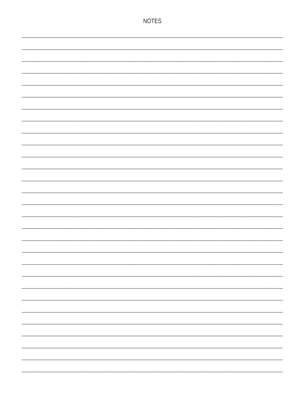| <b>NOTES</b> |
|--------------|
|              |
|              |
|              |
|              |
|              |
|              |
|              |
|              |
|              |
|              |
|              |
|              |
|              |
|              |
|              |
|              |
|              |
|              |
|              |
|              |
|              |
|              |
|              |
|              |
|              |
|              |
|              |
|              |
|              |
|              |
|              |
|              |
|              |
|              |
|              |
|              |